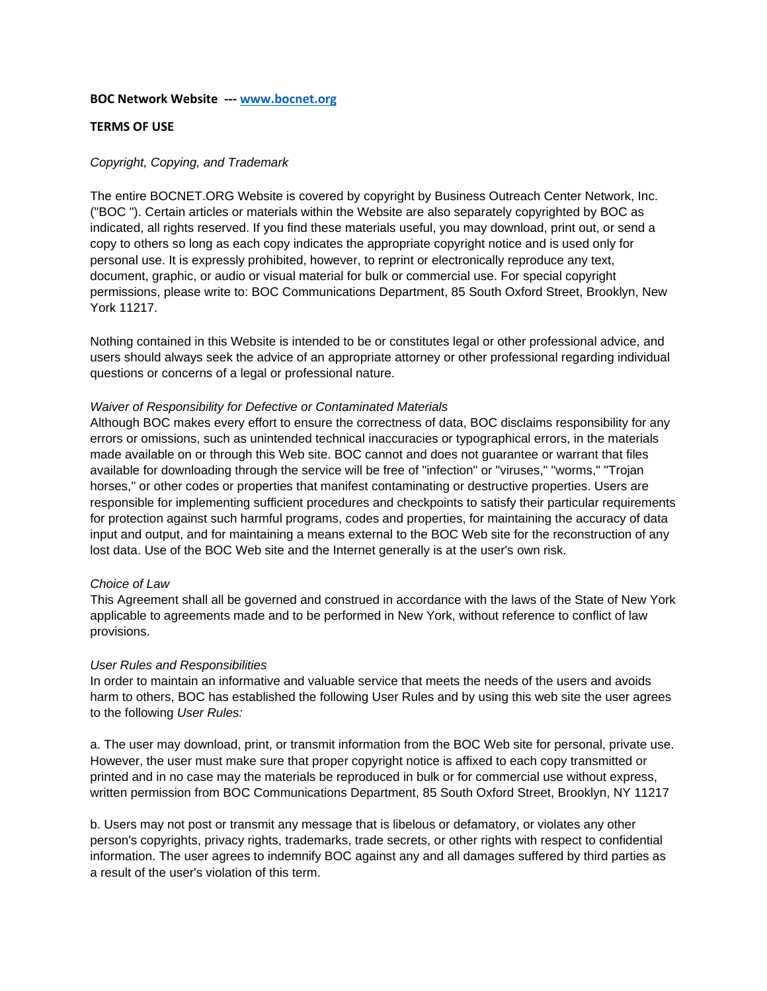#### **BOC Network Website ‐‐‐ www.bocnet.org**

# **TERMS OF USE**

# *Copyright, Copying, and Trademark*

The entire BOCNET.ORG Website is covered by copyright by Business Outreach Center Network, Inc. ("BOC "). Certain articles or materials within the Website are also separately copyrighted by BOC as indicated, all rights reserved. If you find these materials useful, you may download, print out, or send a copy to others so long as each copy indicates the appropriate copyright notice and is used only for personal use. It is expressly prohibited, however, to reprint or electronically reproduce any text, document, graphic, or audio or visual material for bulk or commercial use. For special copyright permissions, please write to: BOC Communications Department, 85 South Oxford Street, Brooklyn, New York 11217.

Nothing contained in this Website is intended to be or constitutes legal or other professional advice, and users should always seek the advice of an appropriate attorney or other professional regarding individual questions or concerns of a legal or professional nature.

## *Waiver of Responsibility for Defective or Contaminated Materials*

Although BOC makes every effort to ensure the correctness of data, BOC disclaims responsibility for any errors or omissions, such as unintended technical inaccuracies or typographical errors, in the materials made available on or through this Web site. BOC cannot and does not guarantee or warrant that files available for downloading through the service will be free of "infection" or "viruses," "worms," "Trojan horses," or other codes or properties that manifest contaminating or destructive properties. Users are responsible for implementing sufficient procedures and checkpoints to satisfy their particular requirements for protection against such harmful programs, codes and properties, for maintaining the accuracy of data input and output, and for maintaining a means external to the BOC Web site for the reconstruction of any lost data. Use of the BOC Web site and the Internet generally is at the user's own risk.

## *Choice of Law*

This Agreement shall all be governed and construed in accordance with the laws of the State of New York applicable to agreements made and to be performed in New York, without reference to conflict of law provisions.

## *User Rules and Responsibilities*

In order to maintain an informative and valuable service that meets the needs of the users and avoids harm to others, BOC has established the following User Rules and by using this web site the user agrees to the following *User Rules:*

a. The user may download, print, or transmit information from the BOC Web site for personal, private use. However, the user must make sure that proper copyright notice is affixed to each copy transmitted or printed and in no case may the materials be reproduced in bulk or for commercial use without express, written permission from BOC Communications Department, 85 South Oxford Street, Brooklyn, NY 11217

b. Users may not post or transmit any message that is libelous or defamatory, or violates any other person's copyrights, privacy rights, trademarks, trade secrets, or other rights with respect to confidential information. The user agrees to indemnify BOC against any and all damages suffered by third parties as a result of the user's violation of this term.